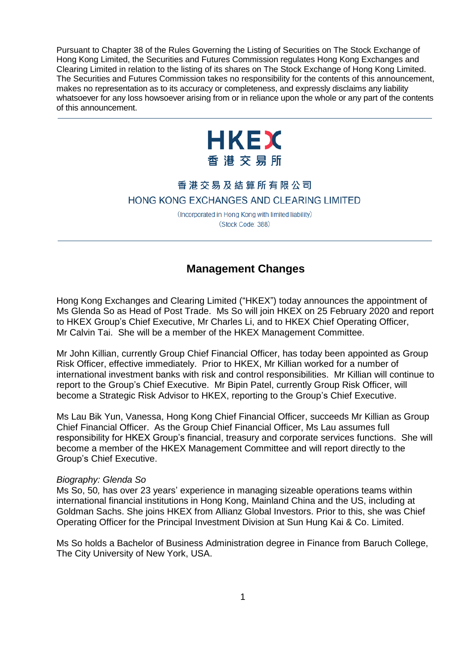Pursuant to Chapter 38 of the Rules Governing the Listing of Securities on The Stock Exchange of Hong Kong Limited, the Securities and Futures Commission regulates Hong Kong Exchanges and Clearing Limited in relation to the listing of its shares on The Stock Exchange of Hong Kong Limited. The Securities and Futures Commission takes no responsibility for the contents of this announcement, makes no representation as to its accuracy or completeness, and expressly disclaims any liability whatsoever for any loss howsoever arising from or in reliance upon the whole or any part of the contents of this announcement.



## 香港交易及結算所有限公司 HONG KONG EXCHANGES AND CLEARING LIMITED

(Incorporated in Hong Kong with limited liability) (Stock Code: 388)

## **Management Changes**

Hong Kong Exchanges and Clearing Limited ("HKEX") today announces the appointment of Ms Glenda So as Head of Post Trade. Ms So will join HKEX on 25 February 2020 and report to HKEX Group's Chief Executive, Mr Charles Li, and to HKEX Chief Operating Officer, Mr Calvin Tai. She will be a member of the HKEX Management Committee.

Mr John Killian, currently Group Chief Financial Officer, has today been appointed as Group Risk Officer, effective immediately. Prior to HKEX, Mr Killian worked for a number of international investment banks with risk and control responsibilities. Mr Killian will continue to report to the Group's Chief Executive. Mr Bipin Patel, currently Group Risk Officer, will become a Strategic Risk Advisor to HKEX, reporting to the Group's Chief Executive.

Ms Lau Bik Yun, Vanessa, Hong Kong Chief Financial Officer, succeeds Mr Killian as Group Chief Financial Officer. As the Group Chief Financial Officer, Ms Lau assumes full responsibility for HKEX Group's financial, treasury and corporate services functions. She will become a member of the HKEX Management Committee and will report directly to the Group's Chief Executive.

## *Biography: Glenda So*

Ms So, 50*,* has over 23 years' experience in managing sizeable operations teams within international financial institutions in Hong Kong, Mainland China and the US, including at Goldman Sachs. She joins HKEX from Allianz Global Investors. Prior to this, she was Chief Operating Officer for the Principal Investment Division at Sun Hung Kai & Co. Limited.

Ms So holds a Bachelor of Business Administration degree in Finance from Baruch College, The City University of New York, USA.